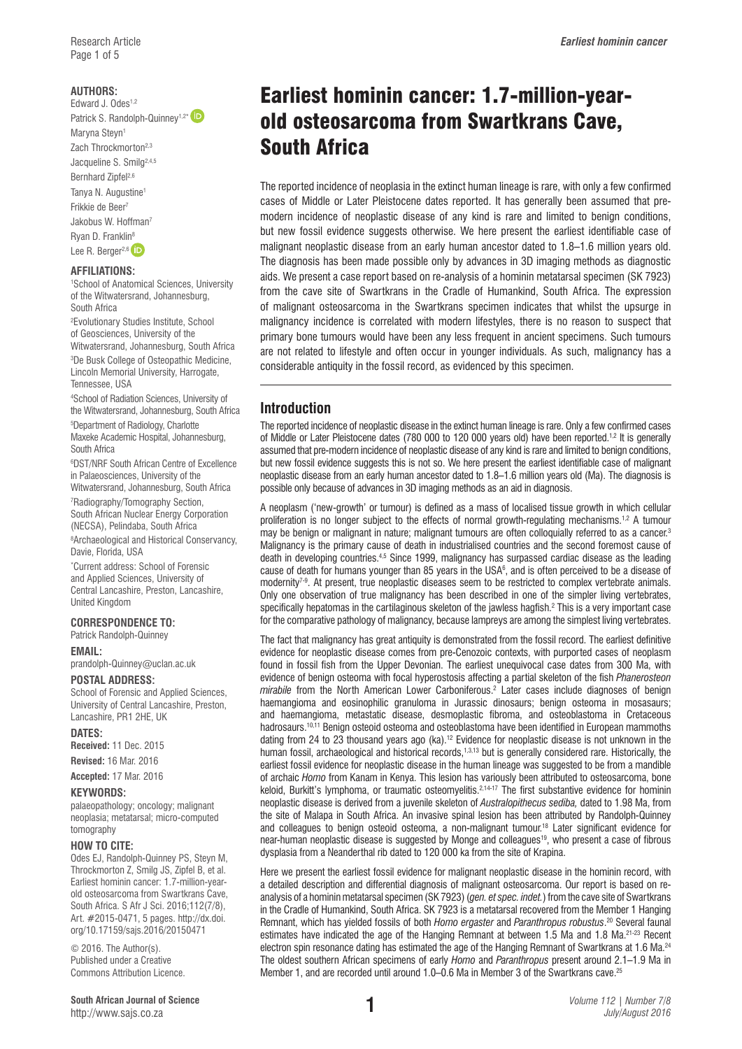### **AUTHORS:**

Edward J. Odes<sup>1,2</sup> Patrick S. Randolph-Quinney<sup>1,2\*</sup> Maryna Steyn<sup>1</sup> Zach Throckmorton<sup>2,3</sup> Jacqueline S. Smilg<sup>2,4,5</sup> Bernhard Zipfel<sup>2,6</sup> Tanya N. Augustine1 Frikkie de Beer7 Jakobus W. Hoffman7 Ryan D. Franklin8 Lee R. Berger<sup>2,6</sup>

#### **AFFILIATIONS:**

1 School of Anatomical Sciences, University of the Witwatersrand, Johannesburg, South Africa

2 Evolutionary Studies Institute, School of Geosciences, University of the Witwatersrand, Johannesburg, South Africa

3 De Busk College of Osteopathic Medicine, Lincoln Memorial University, Harrogate, Tennessee, USA

4 School of Radiation Sciences, University of the Witwatersrand, Johannesburg, South Africa

5 Department of Radiology, Charlotte Maxeke Academic Hospital, Johannesburg, South Africa

6 DST/NRF South African Centre of Excellence in Palaeosciences, University of the

Witwatersrand, Johannesburg, South Africa 7 Radiography/Tomography Section,

South African Nuclear Energy Corporation (NECSA), Pelindaba, South Africa

8 Archaeological and Historical Conservancy, Davie, Florida, USA

\* Current address: School of Forensic and Applied Sciences, University of Central Lancashire, Preston, Lancashire, United Kingdom

#### **CORRESPONDENCE TO:**

Patrick Randolph-Quinney

#### **EMAIL:**

[prandolph-Quinney@uclan.ac.uk](mailto:prandolph-Quinney@uclan.ac.uk)

#### **POSTAL ADDRESS:**

School of Forensic and Applied Sciences, University of Central Lancashire, Preston, Lancashire, PR1 2HE, UK

**DATES:** 

**Received:** 11 Dec. 2015

**Revised:** 16 Mar. 2016 **Accepted:** 17 Mar. 2016

# **KEYWORDS:**

palaeopathology; oncology; malignant neoplasia; metatarsal; micro-computed tomography

#### **HOW TO CITE:**

Odes EJ, Randolph-Quinney PS, Steyn M, Throckmorton Z, Smilg JS, Zipfel B, et al. Earliest hominin cancer: 1.7-million-yearold osteosarcoma from Swartkrans Cave, South Africa. S Afr J Sci. 2016;112(7/8), Art. #2015-0471, 5 pages. [http://dx.doi.](http://dx.doi.org/10.17159/sajs.2016/20150471) [org/10.17159/sajs.2016/20150471](http://dx.doi.org/10.17159/sajs.2016/20150471)

© 2016. The Author(s). Published under a Creative Commons Attribution Licence.

**1 South African Journal of Science** 

<http://www.sajs.co.za>

# Earliest hominin cancer: 1.7-million-yearold osteosarcoma from Swartkrans Cave, South Africa

The reported incidence of neoplasia in the extinct human lineage is rare, with only a few confirmed cases of Middle or Later Pleistocene dates reported. It has generally been assumed that premodern incidence of neoplastic disease of any kind is rare and limited to benign conditions, but new fossil evidence suggests otherwise. We here present the earliest identifiable case of malignant neoplastic disease from an early human ancestor dated to 1.8–1.6 million years old. The diagnosis has been made possible only by advances in 3D imaging methods as diagnostic aids. We present a case report based on re-analysis of a hominin metatarsal specimen (SK 7923) from the cave site of Swartkrans in the Cradle of Humankind, South Africa. The expression of malignant osteosarcoma in the Swartkrans specimen indicates that whilst the upsurge in malignancy incidence is correlated with modern lifestyles, there is no reason to suspect that primary bone tumours would have been any less frequent in ancient specimens. Such tumours are not related to lifestyle and often occur in younger individuals. As such, malignancy has a considerable antiquity in the fossil record, as evidenced by this specimen.

## **Introduction**

The reported incidence of neoplastic disease in the extinct human lineage is rare. Only a few confirmed cases of Middle or Later Pleistocene dates (780 000 to 120 000 years old) have been reported.<sup>1,2</sup> It is generally assumed that pre-modern incidence of neoplastic disease of any kind is rare and limited to benign conditions, but new fossil evidence suggests this is not so. We here present the earliest identifiable case of malignant neoplastic disease from an early human ancestor dated to 1.8–1.6 million years old (Ma). The diagnosis is possible only because of advances in 3D imaging methods as an aid in diagnosis.

A neoplasm ('new-growth' or tumour) is defined as a mass of localised tissue growth in which cellular proliferation is no longer subject to the effects of normal growth-regulating mechanisms.<sup>1,2</sup> A tumour may be benign or malignant in nature; malignant tumours are often colloquially referred to as a cancer.<sup>3</sup> Malignancy is the primary cause of death in industrialised countries and the second foremost cause of death in developing countries.<sup>4,5</sup> Since 1999, malignancy has surpassed cardiac disease as the leading cause of death for humans younger than 85 years in the USA<sup>6</sup>, and is often perceived to be a disease of modernity<sup>7-9</sup>. At present, true neoplastic diseases seem to be restricted to complex vertebrate animals. Only one observation of true malignancy has been described in one of the simpler living vertebrates, specifically hepatomas in the cartilaginous skeleton of the jawless hagfish.2 This is a very important case for the comparative pathology of malignancy, because lampreys are among the simplest living vertebrates.

The fact that malignancy has great antiquity is demonstrated from the fossil record. The earliest definitive evidence for neoplastic disease comes from pre-Cenozoic contexts, with purported cases of neoplasm found in fossil fish from the Upper Devonian. The earliest unequivocal case dates from 300 Ma, with evidence of benign osteoma with focal hyperostosis affecting a partial skeleton of the fish *Phanerosteon mirabile* from the North American Lower Carboniferous.2 Later cases include diagnoses of benign haemangioma and eosinophilic granuloma in Jurassic dinosaurs; benign osteoma in mosasaurs; and haemangioma, metastatic disease, desmoplastic fibroma, and osteoblastoma in Cretaceous hadrosaurs.<sup>10,11</sup> Benign osteoid osteoma and osteoblastoma have been identified in European mammoths dating from 24 to 23 thousand years ago (ka).<sup>12</sup> Evidence for neoplastic disease is not unknown in the human fossil, archaeological and historical records,<sup>1,3,13</sup> but is generally considered rare. Historically, the earliest fossil evidence for neoplastic disease in the human lineage was suggested to be from a mandible of archaic *Homo* from Kanam in Kenya. This lesion has variously been attributed to osteosarcoma, bone keloid, Burkitt's lymphoma, or traumatic osteomyelitis.<sup>2,14-17</sup> The first substantive evidence for hominin neoplastic disease is derived from a juvenile skeleton of *Australopithecus sediba,* dated to 1.98 Ma, from the site of Malapa in South Africa. An invasive spinal lesion has been attributed by Randolph-Quinney and colleagues to benign osteoid osteoma, a non-malignant tumour.18 Later significant evidence for near-human neoplastic disease is suggested by Monge and colleagues<sup>19</sup>, who present a case of fibrous dysplasia from a Neanderthal rib dated to 120 000 ka from the site of Krapina.

Here we present the earliest fossil evidence for malignant neoplastic disease in the hominin record, with a detailed description and differential diagnosis of malignant osteosarcoma. Our report is based on reanalysis of a hominin metatarsal specimen (SK 7923) (*gen. et spec. indet.*) from the cave site of Swartkrans in the Cradle of Humankind, South Africa. SK 7923 is a metatarsal recovered from the Member 1 Hanging Remnant, which has yielded fossils of both *Homo ergaster* and *Paranthropus robustus*. 20 Several faunal estimates have indicated the age of the Hanging Remnant at between 1.5 Ma and 1.8 Ma.<sup>21-23</sup> Recent electron spin resonance dating has estimated the age of the Hanging Remnant of Swartkrans at 1.6 Ma.<sup>24</sup> The oldest southern African specimens of early *Homo* and *Paranthropus* present around 2.1–1.9 Ma in Member 1, and are recorded until around 1.0–0.6 Ma in Member 3 of the Swartkrans cave.<sup>25</sup>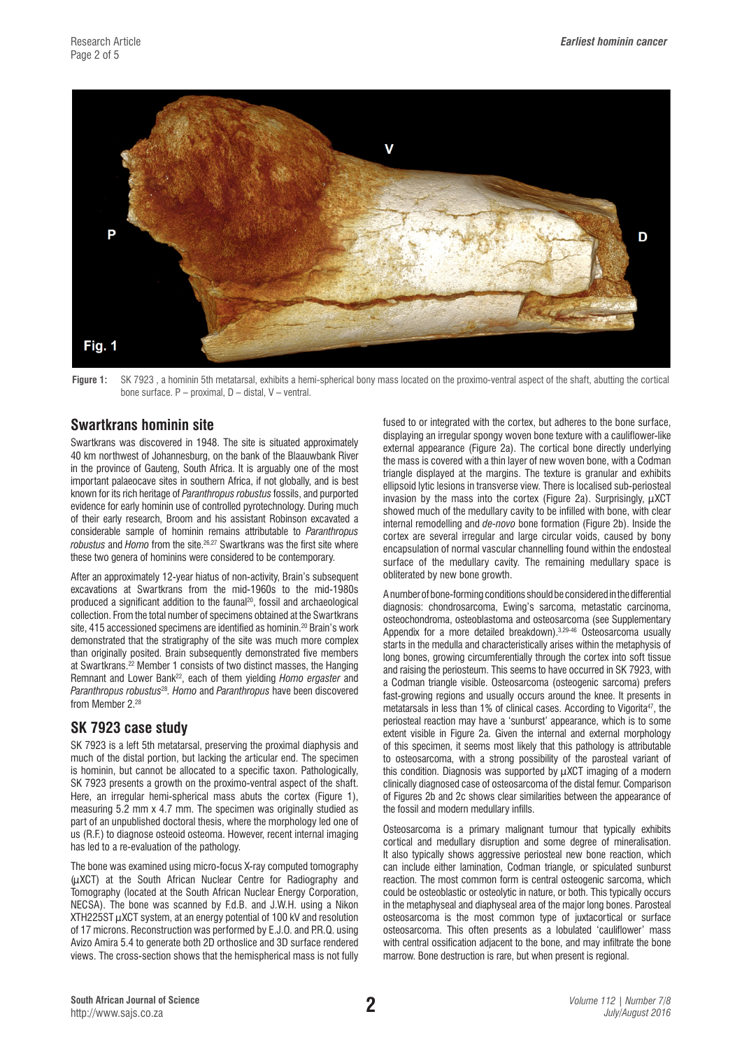

**Figure 1:** SK 7923 , a hominin 5th metatarsal, exhibits a hemi-spherical bony mass located on the proximo-ventral aspect of the shaft, abutting the cortical bone surface. P – proximal, D – distal, V – ventral.

## **Swartkrans hominin site**

Swartkrans was discovered in 1948. The site is situated approximately 40 km northwest of Johannesburg, on the bank of the Blaauwbank River in the province of Gauteng, South Africa. It is arguably one of the most important palaeocave sites in southern Africa, if not globally, and is best known for its rich heritage of *Paranthropus robustus* fossils, and purported evidence for early hominin use of controlled pyrotechnology. During much of their early research, Broom and his assistant Robinson excavated a considerable sample of hominin remains attributable to *Paranthropus robustus* and *Homo* from the site.26,27 Swartkrans was the first site where these two genera of hominins were considered to be contemporary.

After an approximately 12-year hiatus of non-activity, Brain's subsequent excavations at Swartkrans from the mid-1960s to the mid-1980s produced a significant addition to the faunal<sup>20</sup>, fossil and archaeological collection. From the total number of specimens obtained at the Swartkrans site, 415 accessioned specimens are identified as hominin.<sup>20</sup> Brain's work demonstrated that the stratigraphy of the site was much more complex than originally posited. Brain subsequently demonstrated five members at Swartkrans.22 Member 1 consists of two distinct masses, the Hanging Remnant and Lower Bank<sup>22</sup>, each of them yielding *Homo ergaster* and *Paranthropus robustus*28*. Homo* and *Paranthropus* have been discovered from Member 2.28

## **SK 7923 case study**

SK 7923 is a left 5th metatarsal, preserving the proximal diaphysis and much of the distal portion, but lacking the articular end. The specimen is hominin, but cannot be allocated to a specific taxon. Pathologically, SK 7923 presents a growth on the proximo-ventral aspect of the shaft. Here, an irregular hemi-spherical mass abuts the cortex (Figure 1), measuring 5.2 mm x 4.7 mm. The specimen was originally studied as part of an unpublished doctoral thesis, where the morphology led one of us (R.F.) to diagnose osteoid osteoma. However, recent internal imaging has led to a re-evaluation of the pathology.

The bone was examined using micro-focus X-ray computed tomography (µXCT) at the South African Nuclear Centre for Radiography and Tomography (located at the South African Nuclear Energy Corporation, NECSA). The bone was scanned by F.d.B. and J.W.H. using a Nikon XTH225ST µXCT system, at an energy potential of 100 kV and resolution of 17 microns. Reconstruction was performed by E.J.O. and P.R.Q. using Avizo Amira 5.4 to generate both 2D orthoslice and 3D surface rendered views. The cross-section shows that the hemispherical mass is not fully fused to or integrated with the cortex, but adheres to the bone surface, displaying an irregular spongy woven bone texture with a cauliflower-like external appearance (Figure 2a). The cortical bone directly underlying the mass is covered with a thin layer of new woven bone, with a Codman triangle displayed at the margins. The texture is granular and exhibits ellipsoid lytic lesions in transverse view. There is localised sub-periosteal invasion by the mass into the cortex (Figure 2a). Surprisingly, µXCT showed much of the medullary cavity to be infilled with bone, with clear internal remodelling and *de-novo* bone formation (Figure 2b). Inside the cortex are several irregular and large circular voids, caused by bony encapsulation of normal vascular channelling found within the endosteal surface of the medullary cavity. The remaining medullary space is obliterated by new bone growth.

A number of bone-forming conditions should be considered in the differential diagnosis: chondrosarcoma, Ewing's sarcoma, metastatic carcinoma, osteochondroma, osteoblastoma and osteosarcoma (see Supplementary Appendix for a more detailed breakdown). 3,29-46 Osteosarcoma usually starts in the medulla and characteristically arises within the metaphysis of long bones, growing circumferentially through the cortex into soft tissue and raising the periosteum. This seems to have occurred in SK 7923, with a Codman triangle visible. Osteosarcoma (osteogenic sarcoma) prefers fast-growing regions and usually occurs around the knee. It presents in metatarsals in less than 1% of clinical cases. According to Vigorita<sup>47</sup>, the periosteal reaction may have a 'sunburst' appearance, which is to some extent visible in Figure 2a. Given the internal and external morphology of this specimen, it seems most likely that this pathology is attributable to osteosarcoma, with a strong possibility of the parosteal variant of this condition. Diagnosis was supported by  $\mu$ XCT imaging of a modern clinically diagnosed case of osteosarcoma of the distal femur. Comparison of Figures 2b and 2c shows clear similarities between the appearance of the fossil and modern medullary infills.

Osteosarcoma is a primary malignant tumour that typically exhibits cortical and medullary disruption and some degree of mineralisation. It also typically shows aggressive periosteal new bone reaction, which can include either lamination, Codman triangle, or spiculated sunburst reaction. The most common form is central osteogenic sarcoma, which could be osteoblastic or osteolytic in nature, or both. This typically occurs in the metaphyseal and diaphyseal area of the major long bones. Parosteal osteosarcoma is the most common type of juxtacortical or surface osteosarcoma. This often presents as a lobulated 'cauliflower' mass with central ossification adjacent to the bone, and may infiltrate the bone marrow. Bone destruction is rare, but when present is regional.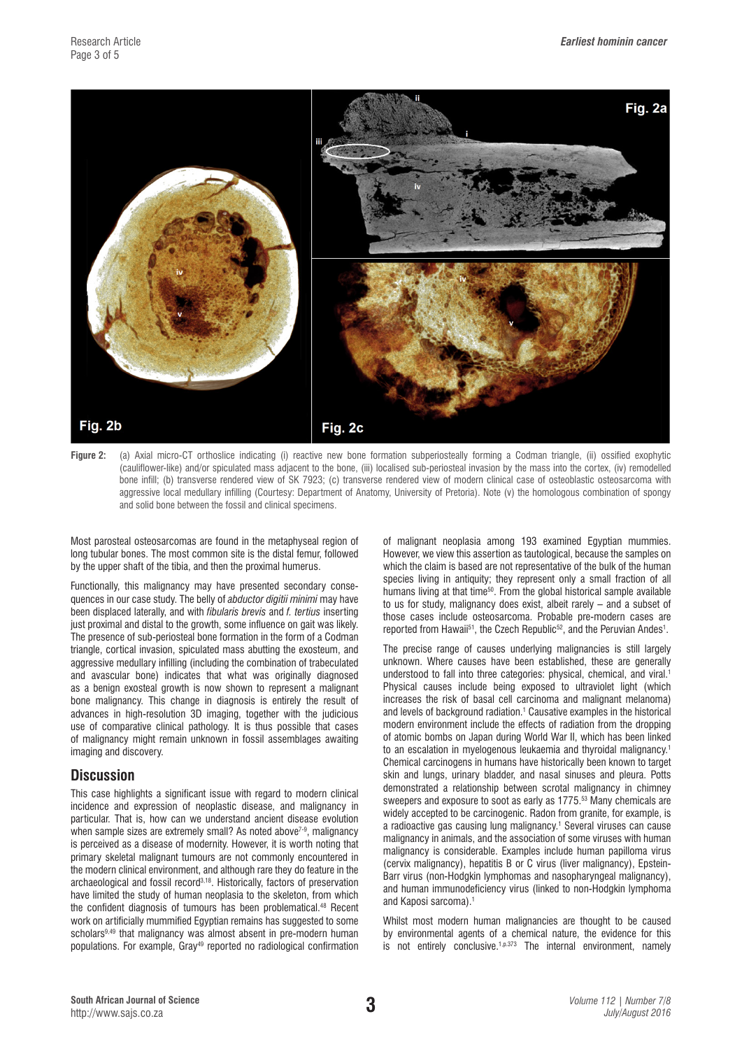

**Figure 2:** (a) Axial micro-CT orthoslice indicating (i) reactive new bone formation subperiosteally forming a Codman triangle, (ii) ossified exophytic (cauliflower-like) and/or spiculated mass adjacent to the bone, (iii) localised sub-periosteal invasion by the mass into the cortex, (iv) remodelled bone infill; (b) transverse rendered view of SK 7923; (c) transverse rendered view of modern clinical case of osteoblastic osteosarcoma with aggressive local medullary infilling (Courtesy: Department of Anatomy, University of Pretoria). Note (v) the homologous combination of spongy and solid bone between the fossil and clinical specimens.

Most parosteal osteosarcomas are found in the metaphyseal region of long tubular bones. The most common site is the distal femur, followed by the upper shaft of the tibia, and then the proximal humerus.

Functionally, this malignancy may have presented secondary consequences in our case study. The belly of *abductor digitii minimi* may have been displaced laterally, and with *fibularis brevis* and *f. tertius* inserting just proximal and distal to the growth, some influence on gait was likely. The presence of sub-periosteal bone formation in the form of a Codman triangle, cortical invasion, spiculated mass abutting the exosteum, and aggressive medullary infilling (including the combination of trabeculated and avascular bone) indicates that what was originally diagnosed as a benign exosteal growth is now shown to represent a malignant bone malignancy. This change in diagnosis is entirely the result of advances in high-resolution 3D imaging, together with the judicious use of comparative clinical pathology. It is thus possible that cases of malignancy might remain unknown in fossil assemblages awaiting imaging and discovery.

## **Discussion**

This case highlights a significant issue with regard to modern clinical incidence and expression of neoplastic disease, and malignancy in particular. That is, how can we understand ancient disease evolution when sample sizes are extremely small? As noted above<sup>7-9</sup>, malignancy is perceived as a disease of modernity. However, it is worth noting that primary skeletal malignant tumours are not commonly encountered in the modern clinical environment, and although rare they do feature in the archaeological and fossil record3,18. Historically, factors of preservation have limited the study of human neoplasia to the skeleton, from which the confident diagnosis of tumours has been problematical.48 Recent work on artificially mummified Egyptian remains has suggested to some scholars<sup>9,49</sup> that malignancy was almost absent in pre-modern human populations. For example, Gray49 reported no radiological confirmation of malignant neoplasia among 193 examined Egyptian mummies. However, we view this assertion as tautological, because the samples on which the claim is based are not representative of the bulk of the human species living in antiquity; they represent only a small fraction of all humans living at that time<sup>50</sup>. From the global historical sample available to us for study, malignancy does exist, albeit rarely – and a subset of those cases include osteosarcoma. Probable pre-modern cases are reported from Hawaii<sup>51</sup>, the Czech Republic<sup>52</sup>, and the Peruvian Andes<sup>1</sup>.

The precise range of causes underlying malignancies is still largely unknown. Where causes have been established, these are generally understood to fall into three categories: physical, chemical, and viral.<sup>1</sup> Physical causes include being exposed to ultraviolet light (which increases the risk of basal cell carcinoma and malignant melanoma) and levels of background radiation.<sup>1</sup> Causative examples in the historical modern environment include the effects of radiation from the dropping of atomic bombs on Japan during World War II, which has been linked to an escalation in myelogenous leukaemia and thyroidal malignancy.<sup>1</sup> Chemical carcinogens in humans have historically been known to target skin and lungs, urinary bladder, and nasal sinuses and pleura. Potts demonstrated a relationship between scrotal malignancy in chimney sweepers and exposure to soot as early as 1775.<sup>53</sup> Many chemicals are widely accepted to be carcinogenic. Radon from granite, for example, is a radioactive gas causing lung malignancy.<sup>1</sup> Several viruses can cause malignancy in animals, and the association of some viruses with human malignancy is considerable. Examples include human papilloma virus (cervix malignancy), hepatitis B or C virus (liver malignancy), Epstein-Barr virus (non-Hodgkin lymphomas and nasopharyngeal malignancy), and human immunodeficiency virus (linked to non-Hodgkin lymphoma and Kaposi sarcoma).1

Whilst most modern human malignancies are thought to be caused by environmental agents of a chemical nature, the evidence for this is not entirely conclusive.<sup>1,p.373</sup> The internal environment, namely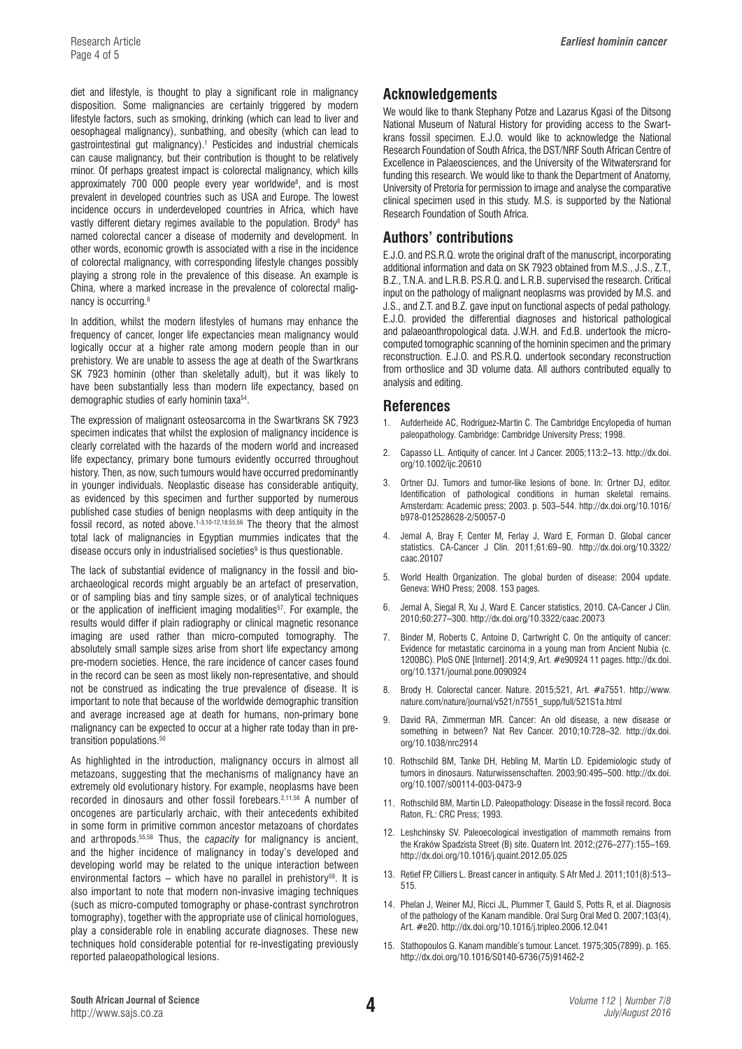diet and lifestyle, is thought to play a significant role in malignancy disposition. Some malignancies are certainly triggered by modern lifestyle factors, such as smoking, drinking (which can lead to liver and oesophageal malignancy), sunbathing, and obesity (which can lead to gastrointestinal gut malignancy).1 Pesticides and industrial chemicals can cause malignancy, but their contribution is thought to be relatively minor. Of perhaps greatest impact is colorectal malignancy, which kills approximately 700 000 people every year worldwide<sup>s</sup>, and is most prevalent in developed countries such as USA and Europe. The lowest incidence occurs in underdeveloped countries in Africa, which have vastly different dietary regimes available to the population. Brody<sup>8</sup> has named colorectal cancer a disease of modernity and development. In other words, economic growth is associated with a rise in the incidence of colorectal malignancy, with corresponding lifestyle changes possibly playing a strong role in the prevalence of this disease. An example is China, where a marked increase in the prevalence of colorectal malignancy is occurring.8

In addition, whilst the modern lifestyles of humans may enhance the frequency of cancer, longer life expectancies mean malignancy would logically occur at a higher rate among modern people than in our prehistory. We are unable to assess the age at death of the Swartkrans SK 7923 hominin (other than skeletally adult), but it was likely to have been substantially less than modern life expectancy, based on demographic studies of early hominin taxa<sup>54</sup>.

The expression of malignant osteosarcoma in the Swartkrans SK 7923 specimen indicates that whilst the explosion of malignancy incidence is clearly correlated with the hazards of the modern world and increased life expectancy, primary bone tumours evidently occurred throughout history. Then, as now, such tumours would have occurred predominantly in younger individuals. Neoplastic disease has considerable antiquity, as evidenced by this specimen and further supported by numerous published case studies of benign neoplasms with deep antiquity in the fossil record, as noted above.1-3,10-12,18,55,56 The theory that the almost total lack of malignancies in Egyptian mummies indicates that the disease occurs only in industrialised societies<sup>9</sup> is thus questionable.

The lack of substantial evidence of malignancy in the fossil and bioarchaeological records might arguably be an artefact of preservation, or of sampling bias and tiny sample sizes, or of analytical techniques or the application of inefficient imaging modalities<sup>57</sup>. For example, the results would differ if plain radiography or clinical magnetic resonance imaging are used rather than micro-computed tomography. The absolutely small sample sizes arise from short life expectancy among pre-modern societies. Hence, the rare incidence of cancer cases found in the record can be seen as most likely non-representative, and should not be construed as indicating the true prevalence of disease. It is important to note that because of the worldwide demographic transition and average increased age at death for humans, non-primary bone malignancy can be expected to occur at a higher rate today than in pretransition populations.<sup>50</sup>

As highlighted in the introduction, malignancy occurs in almost all metazoans, suggesting that the mechanisms of malignancy have an extremely old evolutionary history. For example, neoplasms have been recorded in dinosaurs and other fossil forebears.2,11,56 A number of oncogenes are particularly archaic, with their antecedents exhibited in some form in primitive common ancestor metazoans of chordates and arthropods.55,58 Thus, the *capacity* for malignancy is ancient, and the higher incidence of malignancy in today's developed and developing world may be related to the unique interaction between environmental factors - which have no parallel in prehistory<sup>59</sup>. It is also important to note that modern non-invasive imaging techniques (such as micro-computed tomography or phase-contrast synchrotron tomography), together with the appropriate use of clinical homologues, play a considerable role in enabling accurate diagnoses. These new techniques hold considerable potential for re-investigating previously reported palaeopathological lesions.

## **Acknowledgements**

We would like to thank Stephany Potze and Lazarus Kgasi of the Ditsong National Museum of Natural History for providing access to the Swartkrans fossil specimen. E.J.O. would like to acknowledge the National Research Foundation of South Africa, the DST/NRF South African Centre of Excellence in Palaeosciences, and the University of the Witwatersrand for funding this research. We would like to thank the Department of Anatomy, University of Pretoria for permission to image and analyse the comparative clinical specimen used in this study. M.S. is supported by the National Research Foundation of South Africa.

## **Authors' contributions**

E.J.O. and P.S.R.Q. wrote the original draft of the manuscript, incorporating additional information and data on SK 7923 obtained from M.S., J.S., Z.T., B.Z., T.N.A. and L.R.B. P.S.R.Q. and L.R.B. supervised the research. Critical input on the pathology of malignant neoplasms was provided by M.S. and J.S., and Z.T. and B.Z. gave input on functional aspects of pedal pathology. E.J.O. provided the differential diagnoses and historical pathological and palaeoanthropological data. J.W.H. and F.d.B. undertook the microcomputed tomographic scanning of the hominin specimen and the primary reconstruction. E.J.O. and P.S.R.Q. undertook secondary reconstruction from orthoslice and 3D volume data. All authors contributed equally to analysis and editing.

## **References**

- 1. Aufderheide AC, Rodríguez-Martin C. The Cambridge Encylopedia of human paleopathology. Cambridge: Cambridge University Press; 1998.
- 2. Capasso LL. Antiquity of cancer. Int J Cancer. 2005;113:2–13. [http://dx.doi.](http://dx.doi.org/10.1002/ijc.20610) [org/10.1002/ijc.20610](http://dx.doi.org/10.1002/ijc.20610)
- 3. Ortner DJ. Tumors and tumor-like lesions of bone. In: Ortner DJ, editor. Identification of pathological conditions in human skeletal remains. Amsterdam: Academic press; 2003. p. 503–544. [http://dx.doi.org/10.1016/](http://dx.doi.org/10.1016/b978-012528628-2/50057-0
) [b978-012528628-2/50057-0](http://dx.doi.org/10.1016/b978-012528628-2/50057-0
)
- 4. Jemal A, Bray F, Center M, Ferlay J, Ward E, Forman D. Global cancer statistics. CA-Cancer J Clin. 2011;61:69–90. [http://dx.doi.org/10.3322/](http://dx.doi.org/10.3322/caac.20107) [caac.20107](http://dx.doi.org/10.3322/caac.20107)
- 5. World Health Organization. The global burden of disease: 2004 update. Geneva: WHO Press; 2008. 153 pages.
- 6. Jemal A, Siegal R, Xu J, Ward E. Cancer statistics, 2010. CA-Cancer J Clin. 2010;60:277–300. <http://dx.doi.org/10.3322/caac.20073>
- 7. Binder M, Roberts C, Antoine D, Cartwright C. On the antiquity of cancer: Evidence for metastatic carcinoma in a young man from Ancient Nubia (c. 1200BC). PloS ONE [Internet]. 2014;9, Art. #e90924 11 pages. [http://dx.doi.](http://dx.doi.org/10.1371/journal.pone.0090924) [org/10.1371/journal.pone.0090924](http://dx.doi.org/10.1371/journal.pone.0090924)
- 8. Brody H. Colorectal cancer. Nature. 2015;521, Art. #a7551. [http://www.](http://www.nature.com/nature/journal/v521/n7551_supp/full/521S1a.html) [nature.com/nature/journal/v521/n7551\\_supp/full/521S1a.html](http://www.nature.com/nature/journal/v521/n7551_supp/full/521S1a.html)
- 9. David RA, Zimmerman MR. Cancer: An old disease, a new disease or something in between? Nat Rev Cancer. 2010;10:728–32. [http://dx.doi.](http://dx.doi.org/10.1038/nrc2914) [org/10.1038/nrc2914](http://dx.doi.org/10.1038/nrc2914)
- 10. Rothschild BM, Tanke DH, Hebling M, Martin LD. Epidemiologic study of tumors in dinosaurs. Naturwissenschaften. 2003;90:495–500. [http://dx.doi.](http://dx.doi.org/10.1007/s00114-003-0473-9
) [org/10.1007/s00114-003-0473-9](http://dx.doi.org/10.1007/s00114-003-0473-9
)
- 11. Rothschild BM, Martin LD. Paleopathology: Disease in the fossil record. Boca Raton, FL: CRC Press; 1993.
- 12. Leshchinsky SV. Paleoecological investigation of mammoth remains from the Kraków Spadzista Street (B) site. Quatern Int. 2012;(276–277):155–169. <http://dx.doi.org/10.1016/j.quaint.2012.05.025>
- 13. Retief FP, Cilliers L. Breast cancer in antiquity. S Afr Med J. 2011;101(8):513– 515.
- 14. Phelan J, Weiner MJ, Ricci JL, Plummer T, Gauld S, Potts R, et al. Diagnosis of the pathology of the Kanam mandible. Oral Surg Oral Med O. 2007;103(4), Art. #e20.<http://dx.doi.org/10.1016/j.tripleo.2006.12.041>
- 15. Stathopoulos G. Kanam mandible's tumour. Lancet. 1975;305(7899). p. 165. [http://dx.doi.org/10.1016/S0140-6736\(75\)91462-2](http://dx.doi.org/10.1016/S0140-6736(75)91462-2
)